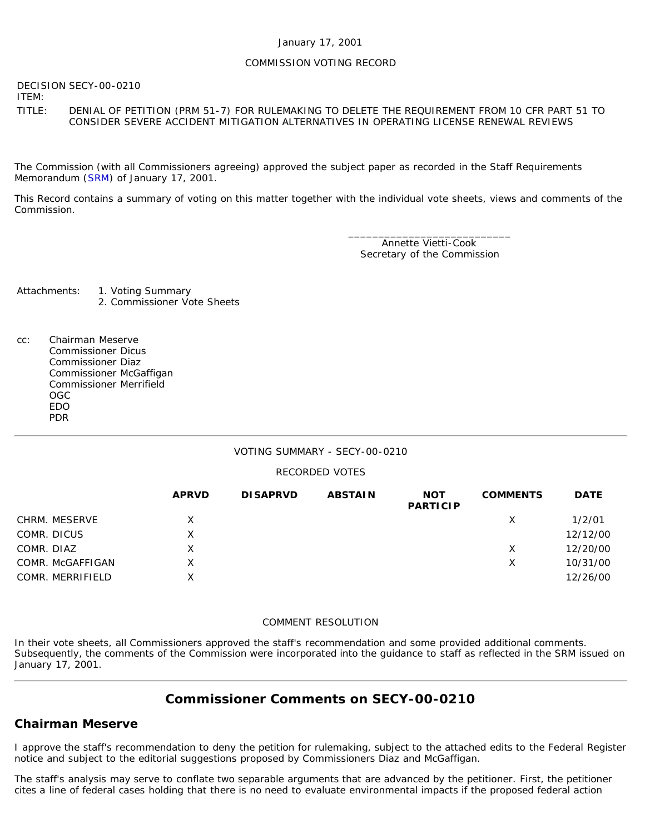### January 17, 2001

#### COMMISSION VOTING RECORD

DECISION SECY-00-0210

ITEM:

TITLE: DENIAL OF PETITION (PRM 51-7) FOR RULEMAKING TO DELETE THE REQUIREMENT FROM 10 CFR PART 51 TO CONSIDER SEVERE ACCIDENT MITIGATION ALTERNATIVES IN OPERATING LICENSE RENEWAL REVIEWS

The Commission (with all Commissioners agreeing) approved the subject paper as recorded in the Staff Requirements Memorandum ([SRM\)](http://www.nrc.gov/reading-rm/doc-collections/commission/srm/2000/2000-0210srm.html) of January 17, 2001.

This Record contains a summary of voting on this matter together with the individual vote sheets, views and comments of the Commission.

> \_\_\_\_\_\_\_\_\_\_\_\_\_\_\_\_\_\_\_\_\_\_\_\_\_\_\_ Annette Vietti-Cook Secretary of the Commission

Attachments: 1. Voting Summary 2. Commissioner Vote Sheets

cc: Chairman Meserve Commissioner Dicus Commissioner Diaz Commissioner McGaffigan Commissioner Merrifield OGC EDO PDR

## VOTING SUMMARY - SECY-00-0210

### RECORDED VOTES

|                  | <b>APRVD</b> | <b>DISAPRVD</b> | <b>ABSTAIN</b> | <b>NOT</b><br><b>PARTICIP</b> | <b>COMMENTS</b> | <b>DATE</b> |
|------------------|--------------|-----------------|----------------|-------------------------------|-----------------|-------------|
| CHRM. MESERVE    | X.           |                 |                |                               | X               | 1/2/01      |
| COMR. DICUS      | х            |                 |                |                               |                 | 12/12/00    |
| COMR. DIAZ       | Χ            |                 |                |                               | Χ               | 12/20/00    |
| COMR. McGAFFIGAN | X            |                 |                |                               | X               | 10/31/00    |
| COMR. MERRIFIELD | X            |                 |                |                               |                 | 12/26/00    |

#### COMMENT RESOLUTION

In their vote sheets, all Commissioners approved the staff's recommendation and some provided additional comments. Subsequently, the comments of the Commission were incorporated into the guidance to staff as reflected in the SRM issued on January 17, 2001.

# **Commissioner Comments on [SECY-00-0210](http://www.nrc.gov/reading-rm/doc-collections/commission/secys/2000/secy2000-0210/2000-0210scy.html)**

## **Chairman Meserve**

I approve the staff's recommendation to deny the petition for rulemaking, subject to the attached edits to the Federal Register notice and subject to the editorial suggestions proposed by Commissioners Diaz and McGaffigan.

The staff's analysis may serve to conflate two separable arguments that are advanced by the petitioner. First, the petitioner cites a line of federal cases holding that there is no need to evaluate environmental impacts if the proposed federal action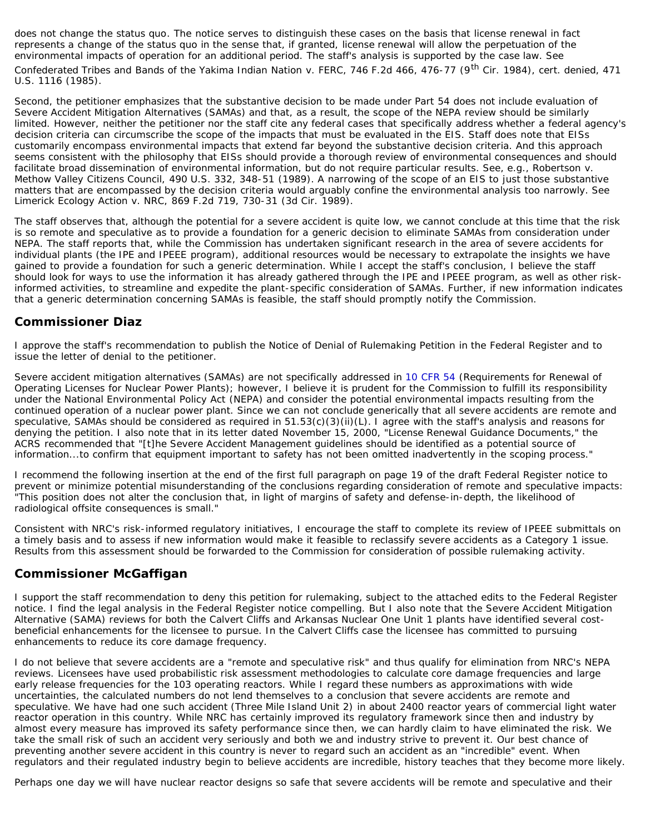does not change the *status quo*. The notice serves to distinguish these cases on the basis that license renewal in fact represents a change of the *status quo* in the sense that, if granted, license renewal will allow the perpetuation of the environmental impacts of operation for an additional period. The staff's analysis is supported by the case law. See Confederated Tribes and Bands of the Yakima Indian Nation v. FERC, 746 F.2d 466, 476-77 (9<sup>th</sup> Cir. 1984), cert. denied, 471 U.S. 1116 (1985).

Second, the petitioner emphasizes that the substantive decision to be made under Part 54 does not include evaluation of Severe Accident Mitigation Alternatives (SAMAs) and that, as a result, the scope of the NEPA review should be similarly limited. However, neither the petitioner nor the staff cite any federal cases that specifically address whether a federal agency's decision criteria can circumscribe the scope of the impacts that must be evaluated in the EIS. Staff does note that EISs customarily encompass environmental impacts that extend far beyond the substantive decision criteria. And this approach seems consistent with the philosophy that EISs should provide a thorough review of environmental consequences and should facilitate broad dissemination of environmental information, but do not require particular results. See, e.g., Robertson v. Methow Valley Citizens Council, 490 U.S. 332, 348-51 (1989). A narrowing of the scope of an EIS to just those substantive matters that are encompassed by the decision criteria would arguably confine the environmental analysis too narrowly. See Limerick Ecology Action v. NRC, 869 F.2d 719, 730-31 (3d Cir. 1989).

The staff observes that, although the potential for a severe accident is quite low, we cannot conclude at this time that the risk is so remote and speculative as to provide a foundation for a generic decision to eliminate SAMAs from consideration under NEPA. The staff reports that, while the Commission has undertaken significant research in the area of severe accidents for individual plants (the IPE and IPEEE program), additional resources would be necessary to extrapolate the insights we have gained to provide a foundation for such a generic determination. While I accept the staff's conclusion, I believe the staff should look for ways to use the information it has already gathered through the IPE and IPEEE program, as well as other riskinformed activities, to streamline and expedite the plant-specific consideration of SAMAs. Further, if new information indicates that a generic determination concerning SAMAs is feasible, the staff should promptly notify the Commission.

## **Commissioner Diaz**

I approve the staff's recommendation to publish the Notice of Denial of Rulemaking Petition in the *Federal Register* and to issue the letter of denial to the petitioner.

Severe accident mitigation alternatives (SAMAs) are not specifically addressed in [10 CFR 54](http://www.nrc.gov/reading-rm/doc-collections/cfr/part054/index.html) (Requirements for Renewal of Operating Licenses for Nuclear Power Plants); however, I believe it is prudent for the Commission to fulfill its responsibility under the National Environmental Policy Act (NEPA) and consider the potential environmental impacts resulting from the continued operation of a nuclear power plant. Since we can not conclude generically that all severe accidents are remote and speculative, SAMAs should be considered as required in 51.53(c)(3)(ii)(L). I agree with the staff's analysis and reasons for denying the petition. I also note that in its letter dated November 15, 2000, "License Renewal Guidance Documents," the ACRS recommended that "[t]he Severe Accident Management guidelines should be identified as a potential source of information...to confirm that equipment important to safety has not been omitted inadvertently in the scoping process."

I recommend the following insertion at the end of the first full paragraph on page 19 of the draft *Federal Register* notice to prevent or minimize potential misunderstanding of the conclusions regarding consideration of remote and speculative impacts: "This position does not alter the conclusion that, in light of margins of safety and defense-in-depth, the likelihood of radiological offsite consequences is small."

Consistent with NRC's risk-informed regulatory initiatives, I encourage the staff to complete its review of IPEEE submittals on a timely basis and to assess if new information would make it feasible to reclassify severe accidents as a Category 1 issue. Results from this assessment should be forwarded to the Commission for consideration of possible rulemaking activity.

# **Commissioner McGaffigan**

I support the staff recommendation to deny this petition for rulemaking, subject to the attached edits to the Federal Register notice. I find the legal analysis in the Federal Register notice compelling. But I also note that the Severe Accident Mitigation Alternative (SAMA) reviews for both the Calvert Cliffs and Arkansas Nuclear One Unit 1 plants have identified several costbeneficial enhancements for the licensee to pursue. In the Calvert Cliffs case the licensee has committed to pursuing enhancements to reduce its core damage frequency.

I do not believe that severe accidents are a "remote and speculative risk" and thus qualify for elimination from NRC's NEPA reviews. Licensees have used probabilistic risk assessment methodologies to calculate core damage frequencies and large early release frequencies for the 103 operating reactors. While I regard these numbers as approximations with wide uncertainties, the calculated numbers do not lend themselves to a conclusion that severe accidents are remote and speculative. We have had one such accident (Three Mile Island Unit 2) in about 2400 reactor years of commercial light water reactor operation in this country. While NRC has certainly improved its regulatory framework since then and industry by almost every measure has improved its safety performance since then, we can hardly claim to have eliminated the risk. We take the small risk of such an accident very seriously and both we and industry strive to prevent it. Our best chance of preventing another severe accident in this country is never to regard such an accident as an "incredible" event. When regulators and their regulated industry begin to believe accidents are incredible, history teaches that they become more likely.

Perhaps one day we will have nuclear reactor designs so safe that severe accidents will be remote and speculative and their